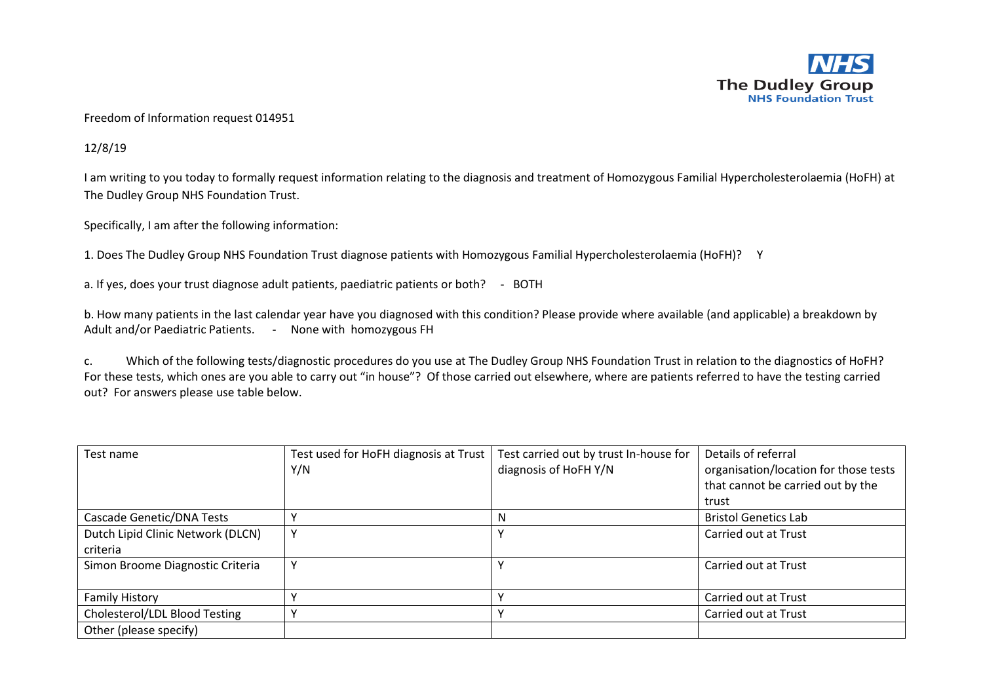

## Freedom of Information request 014951

12/8/19

I am writing to you today to formally request information relating to the diagnosis and treatment of Homozygous Familial Hypercholesterolaemia (HoFH) at The Dudley Group NHS Foundation Trust.

Specifically, I am after the following information:

1. Does The Dudley Group NHS Foundation Trust diagnose patients with Homozygous Familial Hypercholesterolaemia (HoFH)? Y

a. If yes, does your trust diagnose adult patients, paediatric patients or both? - BOTH

b. How many patients in the last calendar year have you diagnosed with this condition? Please provide where available (and applicable) a breakdown by Adult and/or Paediatric Patients. - None with homozygous FH

c. Which of the following tests/diagnostic procedures do you use at The Dudley Group NHS Foundation Trust in relation to the diagnostics of HoFH? For these tests, which ones are you able to carry out "in house"? Of those carried out elsewhere, where are patients referred to have the testing carried out? For answers please use table below.

| Test name                         | Test used for HoFH diagnosis at Trust | Test carried out by trust In-house for | Details of referral                   |
|-----------------------------------|---------------------------------------|----------------------------------------|---------------------------------------|
|                                   | Y/N                                   | diagnosis of HoFH Y/N                  | organisation/location for those tests |
|                                   |                                       |                                        | that cannot be carried out by the     |
|                                   |                                       |                                        | trust                                 |
| Cascade Genetic/DNA Tests         |                                       | N                                      | <b>Bristol Genetics Lab</b>           |
| Dutch Lipid Clinic Network (DLCN) |                                       |                                        | Carried out at Trust                  |
| criteria                          |                                       |                                        |                                       |
| Simon Broome Diagnostic Criteria  |                                       |                                        | Carried out at Trust                  |
|                                   |                                       |                                        |                                       |
| <b>Family History</b>             |                                       |                                        | Carried out at Trust                  |
| Cholesterol/LDL Blood Testing     |                                       |                                        | Carried out at Trust                  |
| Other (please specify)            |                                       |                                        |                                       |